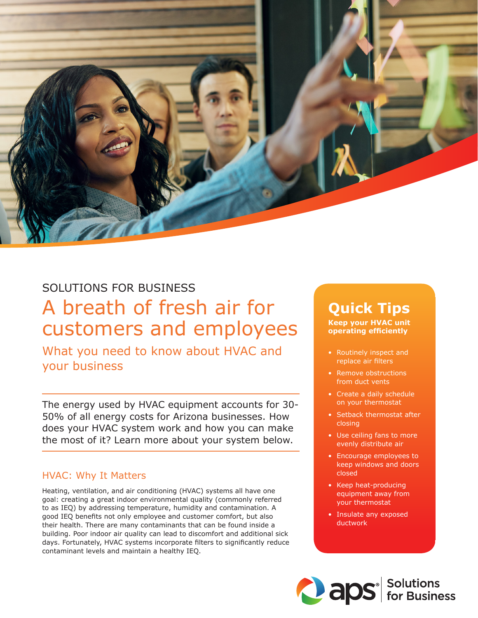

## SOLUTIONS FOR BUSINESS A breath of fresh air for customers and employees

What you need to know about HVAC and your business

The energy used by HVAC equipment accounts for 30- 50% of all energy costs for Arizona businesses. How does your HVAC system work and how you can make the most of it? Learn more about your system below.

## HVAC: Why It Matters

Heating, ventilation, and air conditioning (HVAC) systems all have one goal: creating a great indoor environmental quality (commonly referred to as IEQ) by addressing temperature, humidity and contamination. A good IEQ benefits not only employee and customer comfort, but also their health. There are many contaminants that can be found inside a building. Poor indoor air quality can lead to discomfort and additional sick days. Fortunately, HVAC systems incorporate filters to significantly reduce contaminant levels and maintain a healthy IEQ.

# **Quick Tips**

**Keep your HVAC unit operating efficiently**

- Routinely inspect and replace air filters
- Remove obstructions from duct vents
- Create a daily schedule on your thermostat
- Setback thermostat after closing
- Use ceiling fans to more evenly distribute air
- Encourage employees to keep windows and doors closed
- Keep heat-producing equipment away from your thermostat
- Insulate any exposed ductwork